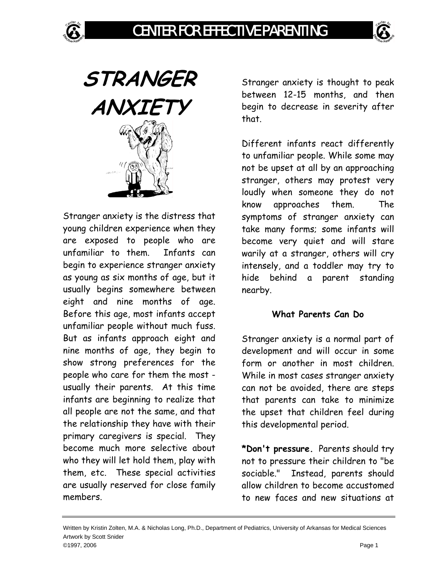

**STRANGER ANXIETY** 

Stranger anxiety is the distress that young children experience when they are exposed to people who are unfamiliar to them. Infants can begin to experience stranger anxiety as young as six months of age, but it usually begins somewhere between eight and nine months of age. Before this age, most infants accept unfamiliar people without much fuss. But as infants approach eight and nine months of age, they begin to show strong preferences for the people who care for them the most usually their parents. At this time infants are beginning to realize that all people are not the same, and that the relationship they have with their primary caregivers is special. They become much more selective about who they will let hold them, play with them, etc. These special activities are usually reserved for close family members.

Stranger anxiety is thought to peak between 12-15 months, and then begin to decrease in severity after that.

Different infants react differently to unfamiliar people. While some may not be upset at all by an approaching stranger, others may protest very loudly when someone they do not know approaches them. The symptoms of stranger anxiety can take many forms; some infants will become very quiet and will stare warily at a stranger, others will cry intensely, and a toddler may try to hide behind a parent standing nearby.

## **What Parents Can Do**

Stranger anxiety is a normal part of development and will occur in some form or another in most children. While in most cases stranger anxiety can not be avoided, there are steps that parents can take to minimize the upset that children feel during this developmental period.

**\*Don't pressure.** Parents should try not to pressure their children to "be sociable." Instead, parents should allow children to become accustomed to new faces and new situations at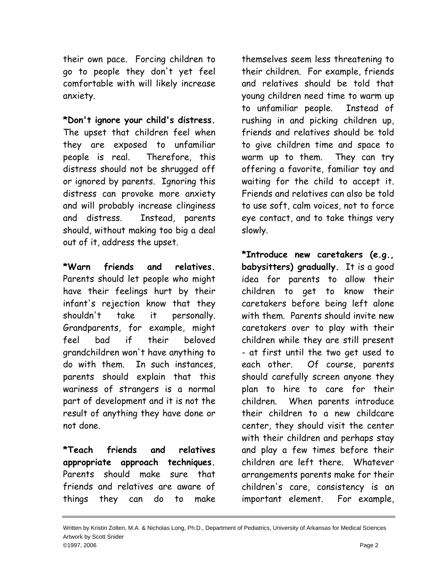their own pace. Forcing children to go to people they don't yet feel comfortable with will likely increase anxiety.

**\*Don't ignore your child's distress.** The upset that children feel when they are exposed to unfamiliar people is real. Therefore, this distress should not be shrugged off or ignored by parents. Ignoring this distress can provoke more anxiety and will probably increase clinginess and distress. Instead, parents should, without making too big a deal out of it, address the upset.

**\*Warn friends and relatives.** Parents should let people who might have their feelings hurt by their infant's rejection know that they shouldn't take it personally. Grandparents, for example, might feel bad if their beloved grandchildren won't have anything to do with them. In such instances, parents should explain that this wariness of strangers is a normal part of development and it is not the result of anything they have done or not done.

**\*Teach friends and relatives appropriate approach techniques.** Parents should make sure that friends and relatives are aware of things they can do to make

themselves seem less threatening to their children. For example, friends and relatives should be told that young children need time to warm up to unfamiliar people. Instead of rushing in and picking children up, friends and relatives should be told to give children time and space to warm up to them. They can try offering a favorite, familiar toy and waiting for the child to accept it. Friends and relatives can also be told to use soft, calm voices, not to force eye contact, and to take things very slowly.

**\*Introduce new caretakers (e.g., babysitters) gradually.** It is a good idea for parents to allow their children to get to know their caretakers before being left alone with them. Parents should invite new caretakers over to play with their children while they are still present - at first until the two get used to each other. Of course, parents should carefully screen anyone they plan to hire to care for their children. When parents introduce their children to a new childcare center, they should visit the center with their children and perhaps stay and play a few times before their children are left there. Whatever arrangements parents make for their children's care, consistency is an important element. For example,